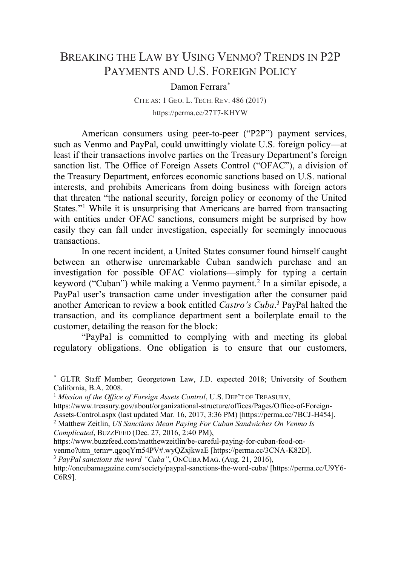## BREAKING THE LAW BY USING VENMO? TRENDS IN P2P PAYMENTS AND U.S. FOREIGN POLICY

## Damon Ferrara\*

CITE AS: 1 GEO. L. TECH. REV. 486 (2017) https://perma.cc/27T7-KHYW

American consumers using peer-to-peer ("P2P") payment services, such as Venmo and PayPal, could unwittingly violate U.S. foreign policy—at least if their transactions involve parties on the Treasury Department's foreign sanction list. The Office of Foreign Assets Control ("OFAC"), a division of the Treasury Department, enforces economic sanctions based on U.S. national interests, and prohibits Americans from doing business with foreign actors that threaten "the national security, foreign policy or economy of the United States."<sup>1</sup> While it is unsurprising that Americans are barred from transacting with entities under OFAC sanctions, consumers might be surprised by how easily they can fall under investigation, especially for seemingly innocuous transactions.

In one recent incident, a United States consumer found himself caught between an otherwise unremarkable Cuban sandwich purchase and an investigation for possible OFAC violations—simply for typing a certain keyword ("Cuban") while making a Venmo payment.<sup>2</sup> In a similar episode, a PayPal user's transaction came under investigation after the consumer paid another American to review a book entitled *Castro's Cuba*. <sup>3</sup> PayPal halted the transaction, and its compliance department sent a boilerplate email to the customer, detailing the reason for the block:

"PayPal is committed to complying with and meeting its global regulatory obligations. One obligation is to ensure that our customers,

*Complicated*, BUZZFEED (Dec. 27, 2016, 2:40 PM),

<sup>3</sup> *PayPal sanctions the word "Cuba"*, ONCUBA MAG. (Aug. 21, 2016),

 <sup>\*</sup> GLTR Staff Member; Georgetown Law, J.D. expected 2018; University of Southern California, B.A. 2008.

<sup>&</sup>lt;sup>1</sup> *Mission of the Office of Foreign Assets Control*, U.S. DEP'T OF TREASURY,

https://www.treasury.gov/about/organizational-structure/offices/Pages/Office-of-Foreign-Assets-Control.aspx (last updated Mar. 16, 2017, 3:36 PM) [https://perma.cc/7BCJ-H454]. <sup>2</sup> Matthew Zeitlin, *US Sanctions Mean Paying For Cuban Sandwiches On Venmo Is* 

https://www.buzzfeed.com/matthewzeitlin/be-careful-paying-for-cuban-food-on-

venmo?utm\_term=.qgoqYm54PV#.wyQZxjkwaE [https://perma.cc/3CNA-K82D].

http://oncubamagazine.com/society/paypal-sanctions-the-word-cuba/ [https://perma.cc/U9Y6- C6R9].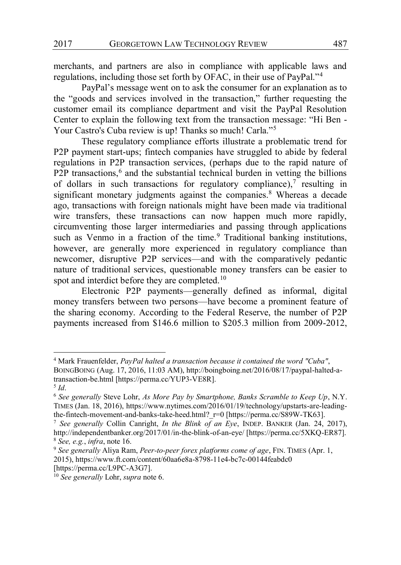merchants, and partners are also in compliance with applicable laws and regulations, including those set forth by OFAC, in their use of PayPal."<sup>4</sup>

PayPal's message went on to ask the consumer for an explanation as to the "goods and services involved in the transaction," further requesting the customer email its compliance department and visit the PayPal Resolution Center to explain the following text from the transaction message: "Hi Ben - Your Castro's Cuba review is up! Thanks so much! Carla."<sup>5</sup>

These regulatory compliance efforts illustrate a problematic trend for P2P payment start-ups; fintech companies have struggled to abide by federal regulations in P2P transaction services, (perhaps due to the rapid nature of P2P transactions, $6$  and the substantial technical burden in vetting the billions of dollars in such transactions for regulatory compliance), $7$  resulting in significant monetary judgments against the companies.<sup>8</sup> Whereas a decade ago, transactions with foreign nationals might have been made via traditional wire transfers, these transactions can now happen much more rapidly, circumventing those larger intermediaries and passing through applications such as Venmo in a fraction of the time.<sup>9</sup> Traditional banking institutions, however, are generally more experienced in regulatory compliance than newcomer, disruptive P2P services—and with the comparatively pedantic nature of traditional services, questionable money transfers can be easier to spot and interdict before they are completed.<sup>10</sup>

Electronic P2P payments—generally defined as informal, digital money transfers between two persons—have become a prominent feature of the sharing economy. According to the Federal Reserve, the number of P2P payments increased from \$146.6 million to \$205.3 million from 2009-2012,

 <sup>4</sup> Mark Frauenfelder, *PayPal halted a transaction because it contained the word "Cuba"*, BOINGBOING (Aug. 17, 2016, 11:03 AM), http://boingboing.net/2016/08/17/paypal-halted-atransaction-be.html [https://perma.cc/YUP3-VE8R].

<sup>5</sup> *Id*.

<sup>6</sup> *See generally* Steve Lohr, *As More Pay by Smartphone, Banks Scramble to Keep Up*, N.Y. TIMES (Jan. 18, 2016), https://www.nytimes.com/2016/01/19/technology/upstarts-are-leadingthe-fintech-movement-and-banks-take-heed.html? r=0 [https://perma.cc/S89W-TK63].

<sup>7</sup> *See generally* Collin Canright, *In the Blink of an Eye*, INDEP. BANKER (Jan. 24, 2017), http://independentbanker.org/2017/01/in-the-blink-of-an-eye/ [https://perma.cc/5XKQ-ER87]. <sup>8</sup> *See, e.g.*, *infra*, note 16.

<sup>9</sup> *See generally* Aliya Ram, *Peer-to-peer forex platforms come of age*, FIN. TIMES (Apr. 1, 2015), https://www.ft.com/content/60aa6e8a-8798-11e4-bc7c-00144feabdc0 [https://perma.cc/L9PC-A3G7].

<sup>10</sup> *See generally* Lohr, *supra* note 6.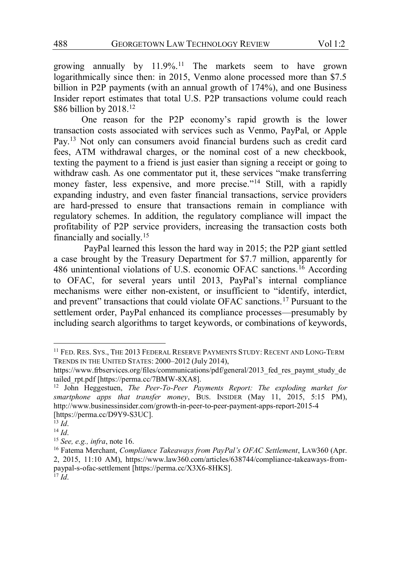growing annually by 11.9%.11 The markets seem to have grown logarithmically since then: in 2015, Venmo alone processed more than \$7.5 billion in P2P payments (with an annual growth of 174%), and one Business Insider report estimates that total U.S. P2P transactions volume could reach \$86 billion by 2018.<sup>12</sup>

One reason for the P2P economy's rapid growth is the lower transaction costs associated with services such as Venmo, PayPal, or Apple Pay.13 Not only can consumers avoid financial burdens such as credit card fees, ATM withdrawal charges, or the nominal cost of a new checkbook, texting the payment to a friend is just easier than signing a receipt or going to withdraw cash. As one commentator put it, these services "make transferring money faster, less expensive, and more precise."<sup>14</sup> Still, with a rapidly expanding industry, and even faster financial transactions, service providers are hard-pressed to ensure that transactions remain in compliance with regulatory schemes. In addition, the regulatory compliance will impact the profitability of P2P service providers, increasing the transaction costs both financially and socially.15

PayPal learned this lesson the hard way in 2015; the P2P giant settled a case brought by the Treasury Department for \$7.7 million, apparently for 486 unintentional violations of U.S. economic OFAC sanctions.16 According to OFAC, for several years until 2013, PayPal's internal compliance mechanisms were either non-existent, or insufficient to "identify, interdict, and prevent" transactions that could violate OFAC sanctions.<sup>17</sup> Pursuant to the settlement order, PayPal enhanced its compliance processes—presumably by including search algorithms to target keywords, or combinations of keywords,

 <sup>11</sup> FED. RES. SYS., THE 2013 FEDERAL RESERVE PAYMENTS STUDY: RECENT AND LONG-TERM TRENDS IN THE UNITED STATES: 2000–2012 (July 2014),

https://www.frbservices.org/files/communications/pdf/general/2013 fed res paymt study de tailed\_rpt.pdf [https://perma.cc/7BMW-8XA8].

<sup>12</sup> John Heggestuen, *The Peer-To-Peer Payments Report: The exploding market for smartphone apps that transfer money*, BUS. INSIDER (May 11, 2015, 5:15 PM), http://www.businessinsider.com/growth-in-peer-to-peer-payment-apps-report-2015-4 [https://perma.cc/D9Y9-S3UC].

 $\overline{13}$   $\overline{Id}$ .

<sup>14</sup> *Id*.

<sup>15</sup> *See, e.g., infra*, note 16.

<sup>&</sup>lt;sup>16</sup> Fatema Merchant, *Compliance Takeaways from PayPal's OFAC Settlement*, LAW360 (Apr. 2, 2015, 11:10 AM), https://www.law360.com/articles/638744/compliance-takeaways-frompaypal-s-ofac-settlement [https://perma.cc/X3X6-8HKS]. <sup>17</sup> *Id*.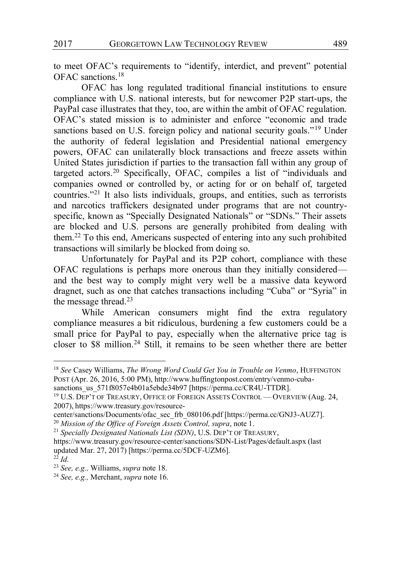to meet OFAC's requirements to "identify, interdict, and prevent" potential OFAC sanctions.18

OFAC has long regulated traditional financial institutions to ensure compliance with U.S. national interests, but for newcomer P2P start-ups, the PayPal case illustrates that they, too, are within the ambit of OFAC regulation. OFAC's stated mission is to administer and enforce "economic and trade sanctions based on U.S. foreign policy and national security goals."<sup>19</sup> Under the authority of federal legislation and Presidential national emergency powers, OFAC can unilaterally block transactions and freeze assets within United States jurisdiction if parties to the transaction fall within any group of targeted actors.20 Specifically, OFAC, compiles a list of "individuals and companies owned or controlled by, or acting for or on behalf of, targeted countries."<sup>21</sup> It also lists individuals, groups, and entities, such as terrorists and narcotics traffickers designated under programs that are not countryspecific, known as "Specially Designated Nationals" or "SDNs." Their assets are blocked and U.S. persons are generally prohibited from dealing with them.22 To this end, Americans suspected of entering into any such prohibited transactions will similarly be blocked from doing so.

Unfortunately for PayPal and its P2P cohort, compliance with these OFAC regulations is perhaps more onerous than they initially considered and the best way to comply might very well be a massive data keyword dragnet, such as one that catches transactions including "Cuba" or "Syria" in the message thread.<sup>23</sup>

While American consumers might find the extra regulatory compliance measures a bit ridiculous, burdening a few customers could be a small price for PayPal to pay, especially when the alternative price tag is closer to \$8 million.24 Still, it remains to be seen whether there are better

 <sup>18</sup> *See* Casey Williams, *The Wrong Word Could Get You in Trouble on Venmo*, HUFFINGTON POST (Apr. 26, 2016, 5:00 PM), http://www.huffingtonpost.com/entry/venmo-cuba-

sanctions\_us\_571f8057e4b01a5ebde34b97 [https://perma.cc/CR4U-TTDR].

<sup>19</sup> U.S. DEP'T OF TREASURY, OFFICE OF FOREIGN ASSETS CONTROL — OVERVIEW (Aug. 24, 2007), https://www.treasury.gov/resource-

center/sanctions/Documents/ofac\_sec\_frb\_080106.pdf [https://perma.cc/GNJ3-AUZ7]. <sup>20</sup> *Mission of the Office of Foreign Assets Control, supra*, note 1.

<sup>21</sup> *Specially Designated Nationals List (SDN)*, U.S. DEP'T OF TREASURY,

https://www.treasury.gov/resource-center/sanctions/SDN-List/Pages/default.aspx (last updated Mar. 27, 2017) [https://perma.cc/5DCF-UZM6].

<sup>22</sup> *Id*.

<sup>23</sup> *See, e.g.,* Williams, *supra* note 18.

<sup>24</sup> *See, e.g.,* Merchant, *supra* note 16.